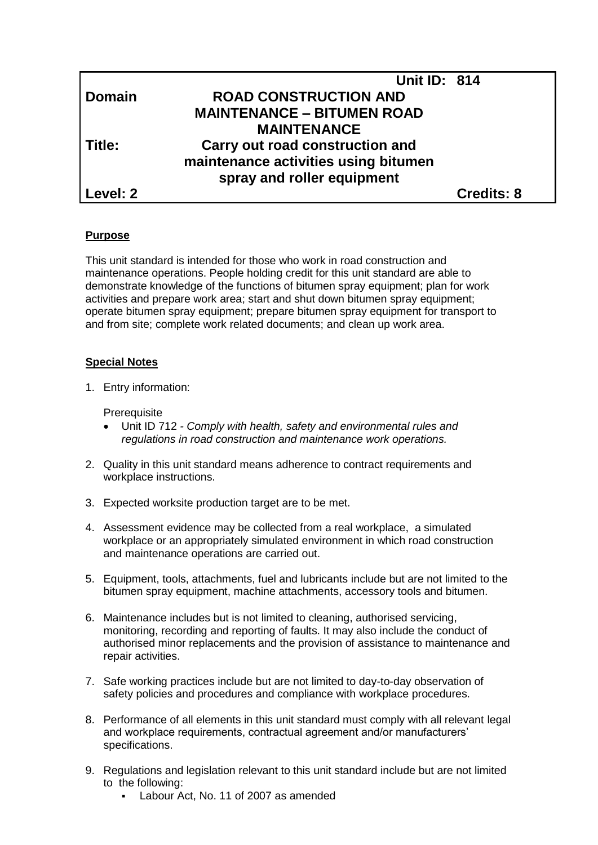|               | <b>Unit ID: 814</b>                  |                   |
|---------------|--------------------------------------|-------------------|
| <b>Domain</b> | <b>ROAD CONSTRUCTION AND</b>         |                   |
|               | <b>MAINTENANCE - BITUMEN ROAD</b>    |                   |
|               | <b>MAINTENANCE</b>                   |                   |
| Title:        | Carry out road construction and      |                   |
|               | maintenance activities using bitumen |                   |
|               | spray and roller equipment           |                   |
| Level: 2      |                                      | <b>Credits: 8</b> |

# **Purpose**

This unit standard is intended for those who work in road construction and maintenance operations. People holding credit for this unit standard are able to demonstrate knowledge of the functions of bitumen spray equipment; plan for work activities and prepare work area; start and shut down bitumen spray equipment; operate bitumen spray equipment; prepare bitumen spray equipment for transport to and from site; complete work related documents; and clean up work area.

## **Special Notes**

1. Entry information:

**Prerequisite** 

- Unit ID 712 *- Comply with health, safety and environmental rules and regulations in road construction and maintenance work operations.*
- 2. Quality in this unit standard means adherence to contract requirements and workplace instructions.
- 3. Expected worksite production target are to be met.
- 4. Assessment evidence may be collected from a real workplace, a simulated workplace or an appropriately simulated environment in which road construction and maintenance operations are carried out.
- 5. Equipment, tools, attachments, fuel and lubricants include but are not limited to the bitumen spray equipment, machine attachments, accessory tools and bitumen.
- 6. Maintenance includes but is not limited to cleaning, authorised servicing, monitoring, recording and reporting of faults. It may also include the conduct of authorised minor replacements and the provision of assistance to maintenance and repair activities.
- 7. Safe working practices include but are not limited to day-to-day observation of safety policies and procedures and compliance with workplace procedures.
- 8. Performance of all elements in this unit standard must comply with all relevant legal and workplace requirements, contractual agreement and/or manufacturers' specifications.
- 9. Regulations and legislation relevant to this unit standard include but are not limited to the following:
	- Labour Act, No. 11 of 2007 as amended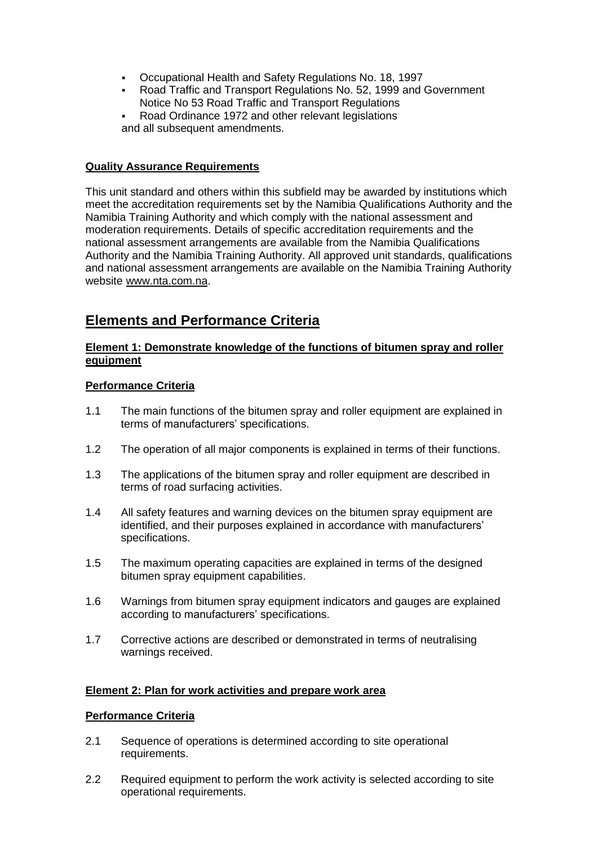- Occupational Health and Safety Regulations No. 18, 1997
- Road Traffic and Transport Regulations No. 52, 1999 and Government Notice No 53 Road Traffic and Transport Regulations
- Road Ordinance 1972 and other relevant legislations and all subsequent amendments.

## **Quality Assurance Requirements**

This unit standard and others within this subfield may be awarded by institutions which meet the accreditation requirements set by the Namibia Qualifications Authority and the Namibia Training Authority and which comply with the national assessment and moderation requirements. Details of specific accreditation requirements and the national assessment arrangements are available from the Namibia Qualifications Authority and the Namibia Training Authority. All approved unit standards, qualifications and national assessment arrangements are available on the Namibia Training Authority website [www.nta.com.na.](http://www.nta.com.na/)

# **Elements and Performance Criteria**

## **Element 1: Demonstrate knowledge of the functions of bitumen spray and roller equipment**

# **Performance Criteria**

- 1.1 The main functions of the bitumen spray and roller equipment are explained in terms of manufacturers' specifications.
- 1.2 The operation of all major components is explained in terms of their functions.
- 1.3 The applications of the bitumen spray and roller equipment are described in terms of road surfacing activities.
- 1.4 All safety features and warning devices on the bitumen spray equipment are identified, and their purposes explained in accordance with manufacturers' specifications.
- 1.5 The maximum operating capacities are explained in terms of the designed bitumen spray equipment capabilities.
- 1.6 Warnings from bitumen spray equipment indicators and gauges are explained according to manufacturers' specifications.
- 1.7 Corrective actions are described or demonstrated in terms of neutralising warnings received.

# **Element 2: Plan for work activities and prepare work area**

## **Performance Criteria**

- 2.1 Sequence of operations is determined according to site operational requirements.
- 2.2 Required equipment to perform the work activity is selected according to site operational requirements.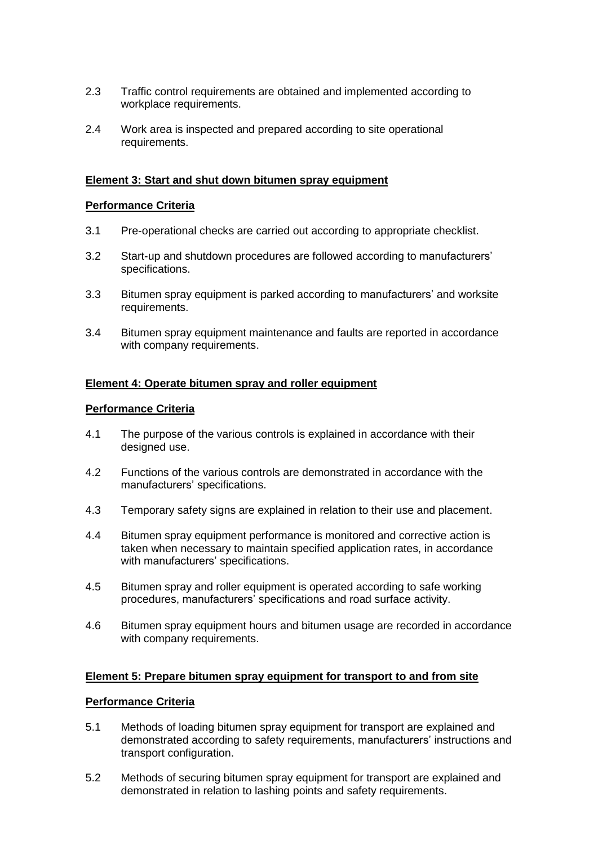- 2.3 Traffic control requirements are obtained and implemented according to workplace requirements.
- 2.4 Work area is inspected and prepared according to site operational requirements.

#### **Element 3: Start and shut down bitumen spray equipment**

#### **Performance Criteria**

- 3.1 Pre-operational checks are carried out according to appropriate checklist.
- 3.2 Start-up and shutdown procedures are followed according to manufacturers' specifications.
- 3.3 Bitumen spray equipment is parked according to manufacturers' and worksite requirements.
- 3.4 Bitumen spray equipment maintenance and faults are reported in accordance with company requirements.

#### **Element 4: Operate bitumen spray and roller equipment**

#### **Performance Criteria**

- 4.1 The purpose of the various controls is explained in accordance with their designed use.
- 4.2 Functions of the various controls are demonstrated in accordance with the manufacturers' specifications.
- 4.3 Temporary safety signs are explained in relation to their use and placement.
- 4.4 Bitumen spray equipment performance is monitored and corrective action is taken when necessary to maintain specified application rates, in accordance with manufacturers' specifications.
- 4.5 Bitumen spray and roller equipment is operated according to safe working procedures, manufacturers' specifications and road surface activity.
- 4.6 Bitumen spray equipment hours and bitumen usage are recorded in accordance with company requirements.

#### **Element 5: Prepare bitumen spray equipment for transport to and from site**

#### **Performance Criteria**

- 5.1 Methods of loading bitumen spray equipment for transport are explained and demonstrated according to safety requirements, manufacturers' instructions and transport configuration.
- 5.2 Methods of securing bitumen spray equipment for transport are explained and demonstrated in relation to lashing points and safety requirements.